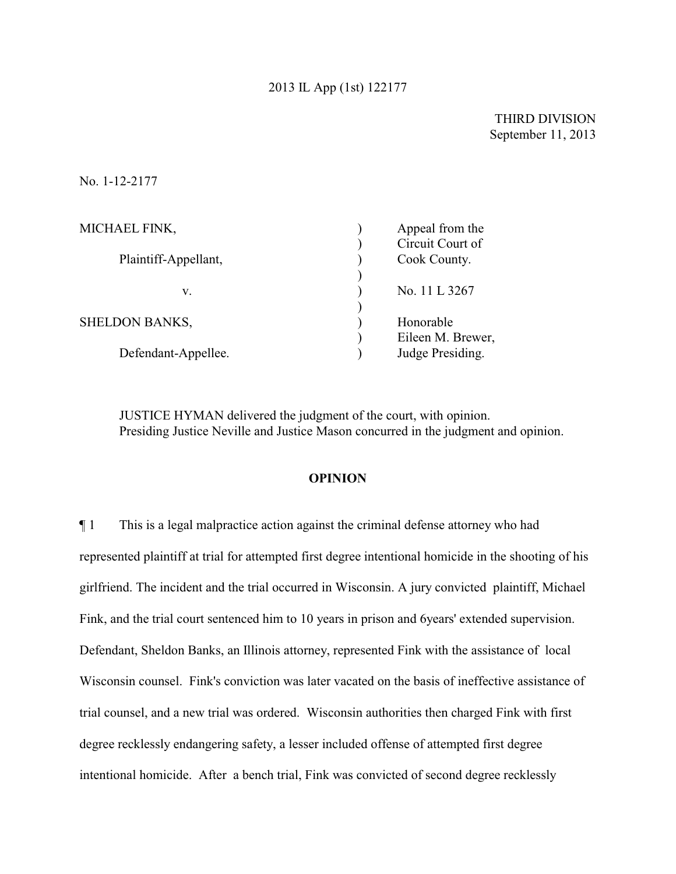## 2013 IL App (1st) 122177

## THIRD DIVISION September 11, 2013

#### No. 1-12-2177

| MICHAEL FINK,         | Appeal from the   |
|-----------------------|-------------------|
|                       | Circuit Court of  |
| Plaintiff-Appellant,  | Cook County.      |
|                       |                   |
| v.                    | No. 11 L 3267     |
|                       |                   |
| <b>SHELDON BANKS,</b> | Honorable         |
|                       | Eileen M. Brewer, |
| Defendant-Appellee.   | Judge Presiding.  |
|                       |                   |

JUSTICE HYMAN delivered the judgment of the court, with opinion. Presiding Justice Neville and Justice Mason concurred in the judgment and opinion.

#### **OPINION**

¶ 1 This is a legal malpractice action against the criminal defense attorney who had represented plaintiff at trial for attempted first degree intentional homicide in the shooting of his girlfriend. The incident and the trial occurred in Wisconsin. A jury convicted plaintiff, Michael Fink, and the trial court sentenced him to 10 years in prison and 6years' extended supervision. Defendant, Sheldon Banks, an Illinois attorney, represented Fink with the assistance of local Wisconsin counsel. Fink's conviction was later vacated on the basis of ineffective assistance of trial counsel, and a new trial was ordered. Wisconsin authorities then charged Fink with first degree recklessly endangering safety, a lesser included offense of attempted first degree intentional homicide. After a bench trial, Fink was convicted of second degree recklessly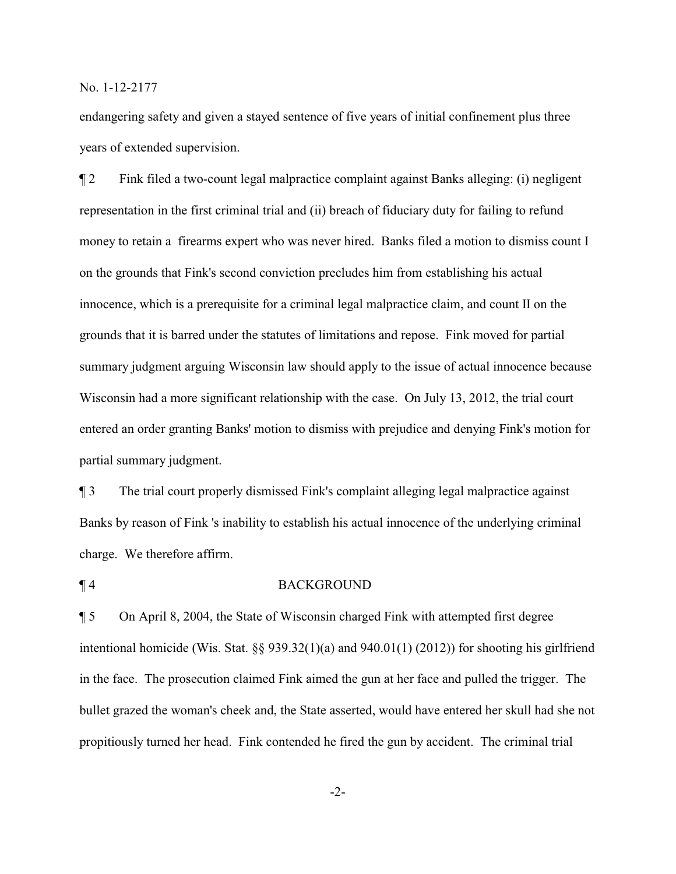endangering safety and given a stayed sentence of five years of initial confinement plus three years of extended supervision.

¶ 2 Fink filed a two-count legal malpractice complaint against Banks alleging: (i) negligent representation in the first criminal trial and (ii) breach of fiduciary duty for failing to refund money to retain a firearms expert who was never hired. Banks filed a motion to dismiss count I on the grounds that Fink's second conviction precludes him from establishing his actual innocence, which is a prerequisite for a criminal legal malpractice claim, and count II on the grounds that it is barred under the statutes of limitations and repose. Fink moved for partial summary judgment arguing Wisconsin law should apply to the issue of actual innocence because Wisconsin had a more significant relationship with the case. On July 13, 2012, the trial court entered an order granting Banks' motion to dismiss with prejudice and denying Fink's motion for partial summary judgment.

¶ 3 The trial court properly dismissed Fink's complaint alleging legal malpractice against Banks by reason of Fink 's inability to establish his actual innocence of the underlying criminal charge. We therefore affirm.

## ¶ 4 BACKGROUND

¶ 5 On April 8, 2004, the State of Wisconsin charged Fink with attempted first degree intentional homicide (Wis. Stat. §§ 939.32(1)(a) and 940.01(1) (2012)) for shooting his girlfriend in the face. The prosecution claimed Fink aimed the gun at her face and pulled the trigger. The bullet grazed the woman's cheek and, the State asserted, would have entered her skull had she not propitiously turned her head. Fink contended he fired the gun by accident. The criminal trial

-2-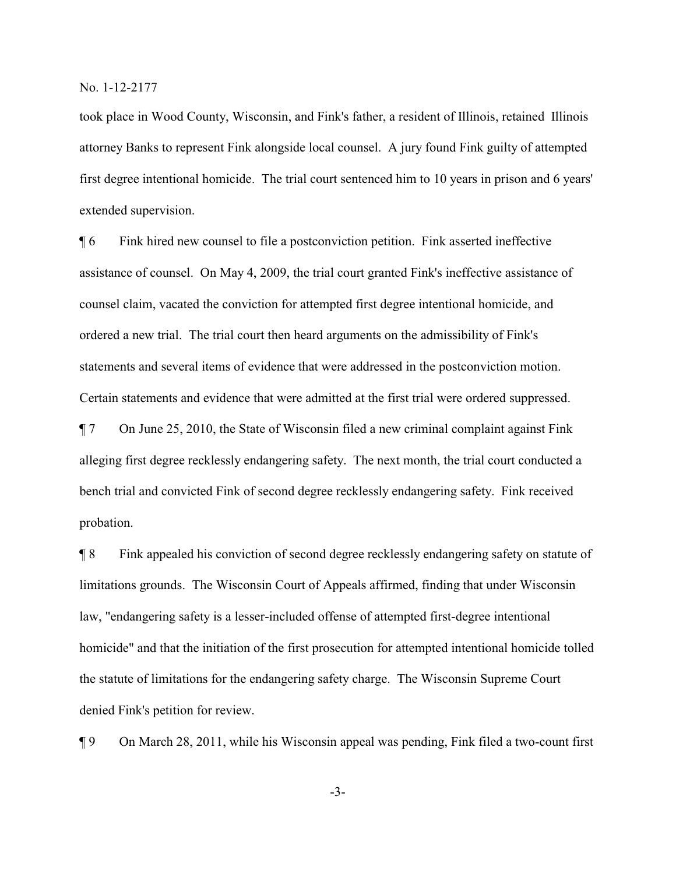took place in Wood County, Wisconsin, and Fink's father, a resident of Illinois, retained Illinois attorney Banks to represent Fink alongside local counsel. A jury found Fink guilty of attempted first degree intentional homicide. The trial court sentenced him to 10 years in prison and 6 years' extended supervision.

¶ 6 Fink hired new counsel to file a postconviction petition. Fink asserted ineffective assistance of counsel. On May 4, 2009, the trial court granted Fink's ineffective assistance of counsel claim, vacated the conviction for attempted first degree intentional homicide, and ordered a new trial. The trial court then heard arguments on the admissibility of Fink's statements and several items of evidence that were addressed in the postconviction motion. Certain statements and evidence that were admitted at the first trial were ordered suppressed.

¶ 7 On June 25, 2010, the State of Wisconsin filed a new criminal complaint against Fink alleging first degree recklessly endangering safety. The next month, the trial court conducted a bench trial and convicted Fink of second degree recklessly endangering safety. Fink received probation.

¶ 8 Fink appealed his conviction of second degree recklessly endangering safety on statute of limitations grounds. The Wisconsin Court of Appeals affirmed, finding that under Wisconsin law, "endangering safety is a lesser-included offense of attempted first-degree intentional homicide" and that the initiation of the first prosecution for attempted intentional homicide tolled the statute of limitations for the endangering safety charge. The Wisconsin Supreme Court denied Fink's petition for review.

¶ 9 On March 28, 2011, while his Wisconsin appeal was pending, Fink filed a two-count first

-3-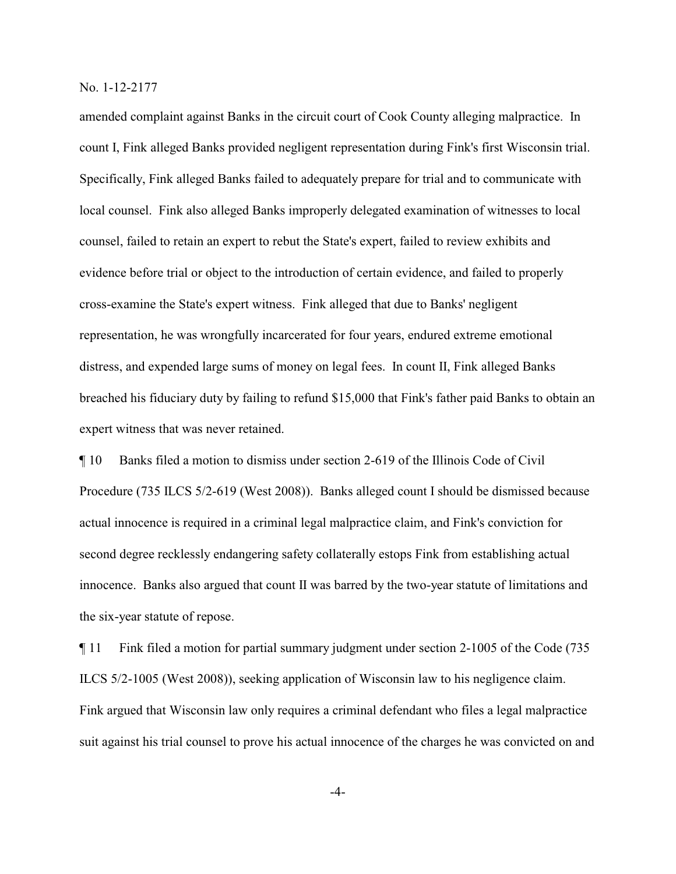amended complaint against Banks in the circuit court of Cook County alleging malpractice. In count I, Fink alleged Banks provided negligent representation during Fink's first Wisconsin trial. Specifically, Fink alleged Banks failed to adequately prepare for trial and to communicate with local counsel. Fink also alleged Banks improperly delegated examination of witnesses to local counsel, failed to retain an expert to rebut the State's expert, failed to review exhibits and evidence before trial or object to the introduction of certain evidence, and failed to properly cross-examine the State's expert witness. Fink alleged that due to Banks' negligent representation, he was wrongfully incarcerated for four years, endured extreme emotional distress, and expended large sums of money on legal fees. In count II, Fink alleged Banks breached his fiduciary duty by failing to refund \$15,000 that Fink's father paid Banks to obtain an expert witness that was never retained.

¶ 10 Banks filed a motion to dismiss under section 2-619 of the Illinois Code of Civil Procedure (735 ILCS 5/2-619 (West 2008)). Banks alleged count I should be dismissed because actual innocence is required in a criminal legal malpractice claim, and Fink's conviction for second degree recklessly endangering safety collaterally estops Fink from establishing actual innocence. Banks also argued that count II was barred by the two-year statute of limitations and the six-year statute of repose.

¶ 11 Fink filed a motion for partial summary judgment under section 2-1005 of the Code (735 ILCS 5/2-1005 (West 2008)), seeking application of Wisconsin law to his negligence claim. Fink argued that Wisconsin law only requires a criminal defendant who files a legal malpractice suit against his trial counsel to prove his actual innocence of the charges he was convicted on and

-4-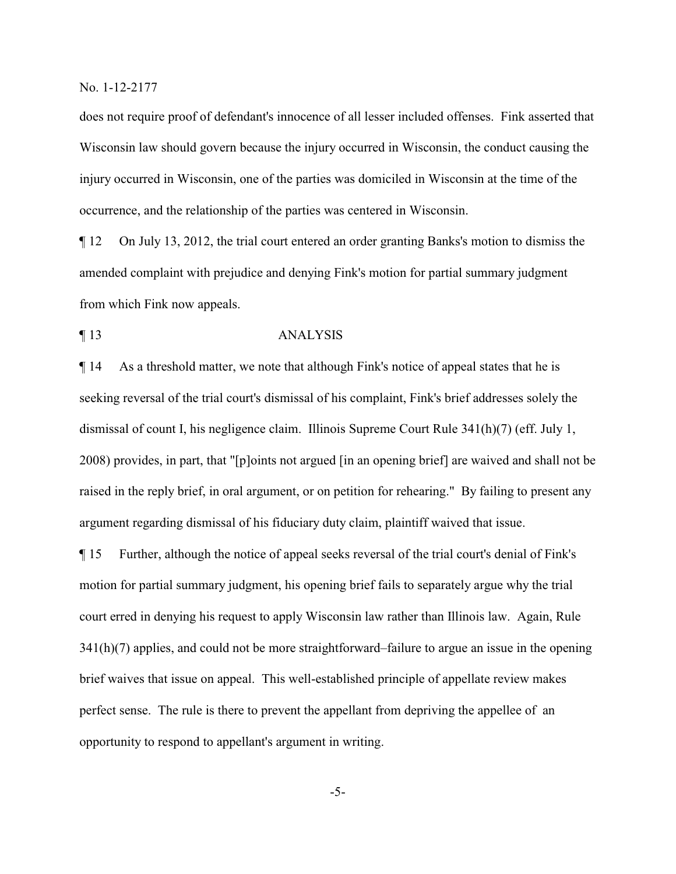does not require proof of defendant's innocence of all lesser included offenses. Fink asserted that Wisconsin law should govern because the injury occurred in Wisconsin, the conduct causing the injury occurred in Wisconsin, one of the parties was domiciled in Wisconsin at the time of the occurrence, and the relationship of the parties was centered in Wisconsin.

¶ 12 On July 13, 2012, the trial court entered an order granting Banks's motion to dismiss the amended complaint with prejudice and denying Fink's motion for partial summary judgment from which Fink now appeals.

## ¶ 13 ANALYSIS

¶ 14 As a threshold matter, we note that although Fink's notice of appeal states that he is seeking reversal of the trial court's dismissal of his complaint, Fink's brief addresses solely the dismissal of count I, his negligence claim. Illinois Supreme Court Rule 341(h)(7) (eff. July 1, 2008) provides, in part, that "[p]oints not argued [in an opening brief] are waived and shall not be raised in the reply brief, in oral argument, or on petition for rehearing." By failing to present any argument regarding dismissal of his fiduciary duty claim, plaintiff waived that issue.

¶ 15 Further, although the notice of appeal seeks reversal of the trial court's denial of Fink's motion for partial summary judgment, his opening brief fails to separately argue why the trial court erred in denying his request to apply Wisconsin law rather than Illinois law. Again, Rule 341(h)(7) applies, and could not be more straightforward–failure to argue an issue in the opening brief waives that issue on appeal. This well-established principle of appellate review makes perfect sense. The rule is there to prevent the appellant from depriving the appellee of an opportunity to respond to appellant's argument in writing.

-5-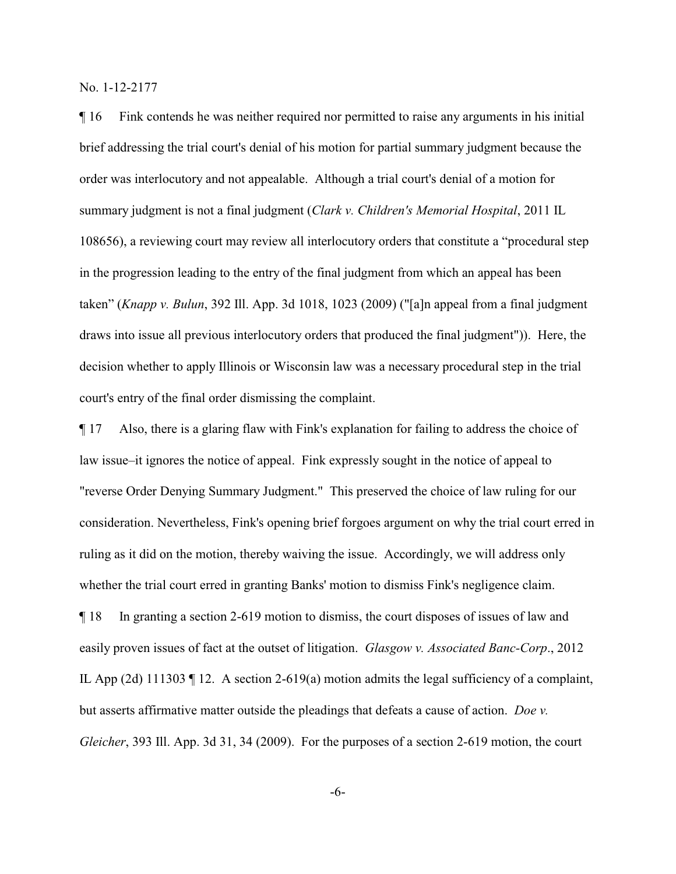¶ 16 Fink contends he was neither required nor permitted to raise any arguments in his initial brief addressing the trial court's denial of his motion for partial summary judgment because the order was interlocutory and not appealable. Although a trial court's denial of a motion for summary judgment is not a final judgment (*Clark v. Children's Memorial Hospital*, 2011 IL 108656), a reviewing court may review all interlocutory orders that constitute a "procedural step in the progression leading to the entry of the final judgment from which an appeal has been taken" (*Knapp v. Bulun*, 392 Ill. App. 3d 1018, 1023 (2009) ("[a]n appeal from a final judgment draws into issue all previous interlocutory orders that produced the final judgment")). Here, the decision whether to apply Illinois or Wisconsin law was a necessary procedural step in the trial court's entry of the final order dismissing the complaint.

¶ 17 Also, there is a glaring flaw with Fink's explanation for failing to address the choice of law issue–it ignores the notice of appeal. Fink expressly sought in the notice of appeal to "reverse Order Denying Summary Judgment." This preserved the choice of law ruling for our consideration. Nevertheless, Fink's opening brief forgoes argument on why the trial court erred in ruling as it did on the motion, thereby waiving the issue. Accordingly, we will address only whether the trial court erred in granting Banks' motion to dismiss Fink's negligence claim.

¶ 18 In granting a section 2-619 motion to dismiss, the court disposes of issues of law and easily proven issues of fact at the outset of litigation. *Glasgow v. Associated Banc-Corp*., 2012 IL App (2d) 111303 ¶ 12. A section 2-619(a) motion admits the legal sufficiency of a complaint, but asserts affirmative matter outside the pleadings that defeats a cause of action. *Doe v. Gleicher*, 393 Ill. App. 3d 31, 34 (2009). For the purposes of a section 2-619 motion, the court

-6-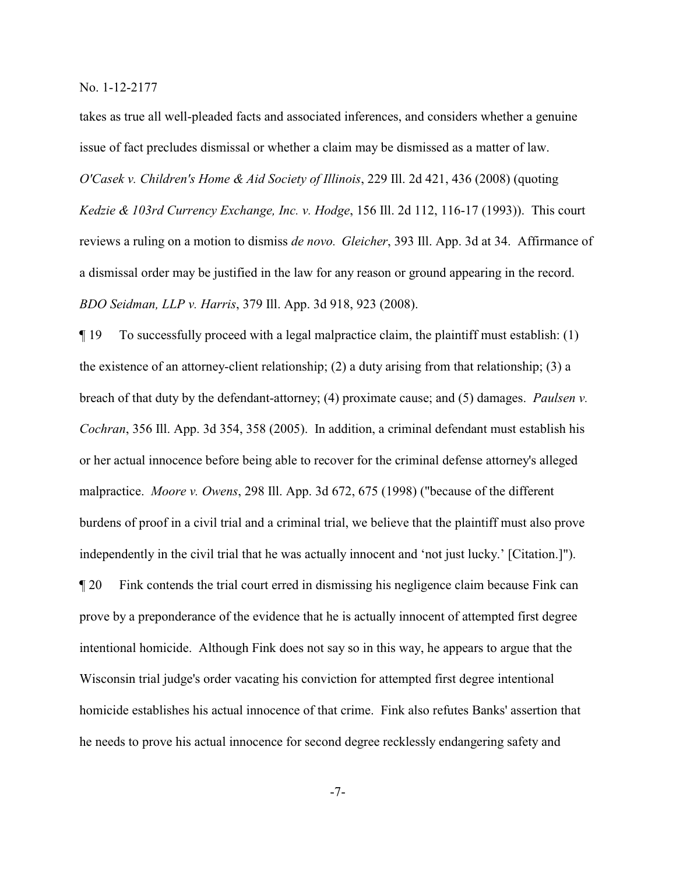takes as true all well-pleaded facts and associated inferences, and considers whether a genuine issue of fact precludes dismissal or whether a claim may be dismissed as a matter of law. *O'Casek v. Children's Home & Aid Society of Illinois*, 229 Ill. 2d 421, 436 (2008) (quoting *Kedzie & 103rd Currency Exchange, Inc. v. Hodge*, 156 Ill. 2d 112, 116-17 (1993)). This court reviews a ruling on a motion to dismiss *de novo. Gleicher*, 393 Ill. App. 3d at 34. Affirmance of a dismissal order may be justified in the law for any reason or ground appearing in the record. *BDO Seidman, LLP v. Harris*, 379 Ill. App. 3d 918, 923 (2008).

¶ 19 To successfully proceed with a legal malpractice claim, the plaintiff must establish: (1) the existence of an attorney-client relationship; (2) a duty arising from that relationship; (3) a breach of that duty by the defendant-attorney; (4) proximate cause; and (5) damages. *Paulsen v. Cochran*, 356 Ill. App. 3d 354, 358 (2005). In addition, a criminal defendant must establish his or her actual innocence before being able to recover for the criminal defense attorney's alleged malpractice. *Moore v. Owens*, 298 Ill. App. 3d 672, 675 (1998) ("because of the different burdens of proof in a civil trial and a criminal trial, we believe that the plaintiff must also prove independently in the civil trial that he was actually innocent and 'not just lucky.' [Citation.]"). ¶ 20 Fink contends the trial court erred in dismissing his negligence claim because Fink can prove by a preponderance of the evidence that he is actually innocent of attempted first degree intentional homicide. Although Fink does not say so in this way, he appears to argue that the Wisconsin trial judge's order vacating his conviction for attempted first degree intentional homicide establishes his actual innocence of that crime. Fink also refutes Banks' assertion that he needs to prove his actual innocence for second degree recklessly endangering safety and

-7-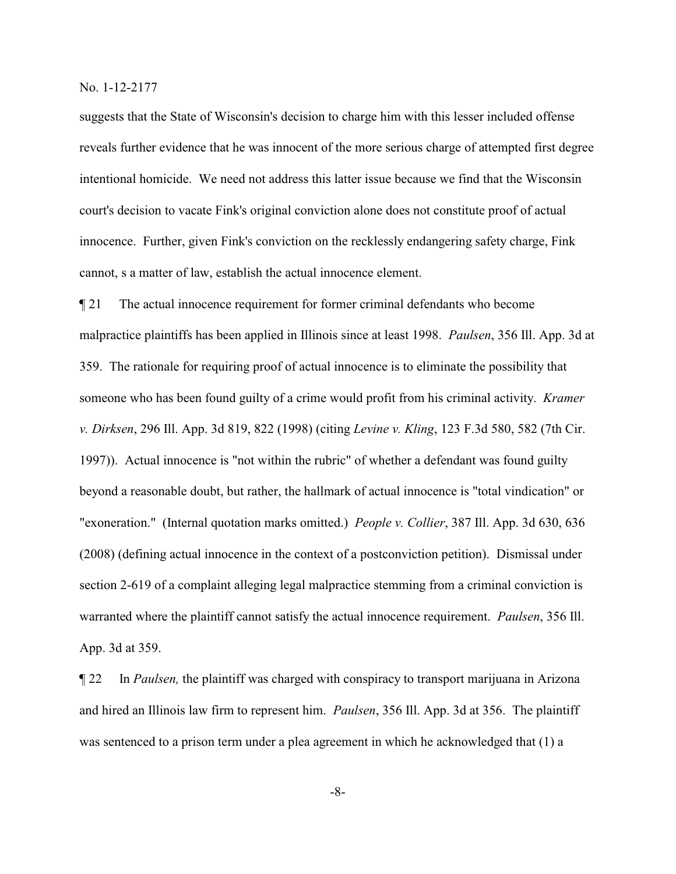suggests that the State of Wisconsin's decision to charge him with this lesser included offense reveals further evidence that he was innocent of the more serious charge of attempted first degree intentional homicide. We need not address this latter issue because we find that the Wisconsin court's decision to vacate Fink's original conviction alone does not constitute proof of actual innocence. Further, given Fink's conviction on the recklessly endangering safety charge, Fink cannot, s a matter of law, establish the actual innocence element.

¶ 21 The actual innocence requirement for former criminal defendants who become malpractice plaintiffs has been applied in Illinois since at least 1998. *Paulsen*, 356 Ill. App. 3d at 359. The rationale for requiring proof of actual innocence is to eliminate the possibility that someone who has been found guilty of a crime would profit from his criminal activity. *Kramer v. Dirksen*, 296 Ill. App. 3d 819, 822 (1998) (citing *Levine v. Kling*, 123 F.3d 580, 582 (7th Cir. 1997)). Actual innocence is "not within the rubric" of whether a defendant was found guilty beyond a reasonable doubt, but rather, the hallmark of actual innocence is "total vindication" or "exoneration." (Internal quotation marks omitted.) *People v. Collier*, 387 Ill. App. 3d 630, 636 (2008) (defining actual innocence in the context of a postconviction petition). Dismissal under section 2-619 of a complaint alleging legal malpractice stemming from a criminal conviction is warranted where the plaintiff cannot satisfy the actual innocence requirement. *Paulsen*, 356 Ill. App. 3d at 359.

¶ 22 In *Paulsen,* the plaintiff was charged with conspiracy to transport marijuana in Arizona and hired an Illinois law firm to represent him. *Paulsen*, 356 Ill. App. 3d at 356. The plaintiff was sentenced to a prison term under a plea agreement in which he acknowledged that (1) a

-8-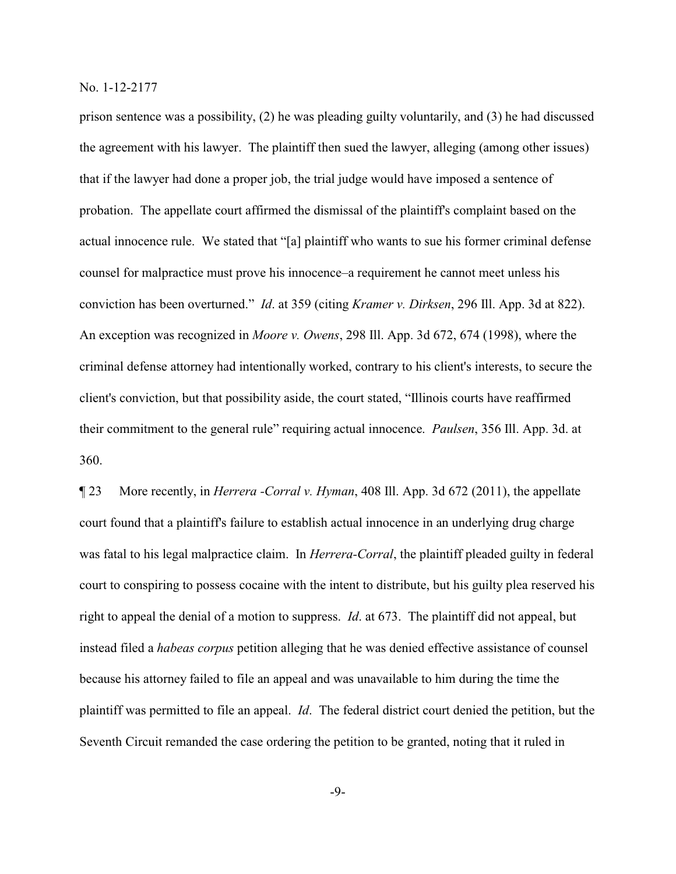prison sentence was a possibility, (2) he was pleading guilty voluntarily, and (3) he had discussed the agreement with his lawyer. The plaintiff then sued the lawyer, alleging (among other issues) that if the lawyer had done a proper job, the trial judge would have imposed a sentence of probation. The appellate court affirmed the dismissal of the plaintiff's complaint based on the actual innocence rule. We stated that "[a] plaintiff who wants to sue his former criminal defense counsel for malpractice must prove his innocence–a requirement he cannot meet unless his conviction has been overturned." *Id*. at 359 (citing *Kramer v. Dirksen*, 296 Ill. App. 3d at 822). An exception was recognized in *Moore v. Owens*, 298 Ill. App. 3d 672, 674 (1998), where the criminal defense attorney had intentionally worked, contrary to his client's interests, to secure the client's conviction, but that possibility aside, the court stated, "Illinois courts have reaffirmed their commitment to the general rule" requiring actual innocence. *Paulsen*, 356 Ill. App. 3d. at 360.

¶ 23 More recently, in *Herrera -Corral v. Hyman*, 408 Ill. App. 3d 672 (2011), the appellate court found that a plaintiff's failure to establish actual innocence in an underlying drug charge was fatal to his legal malpractice claim. In *Herrera-Corral*, the plaintiff pleaded guilty in federal court to conspiring to possess cocaine with the intent to distribute, but his guilty plea reserved his right to appeal the denial of a motion to suppress. *Id*. at 673. The plaintiff did not appeal, but instead filed a *habeas corpus* petition alleging that he was denied effective assistance of counsel because his attorney failed to file an appeal and was unavailable to him during the time the plaintiff was permitted to file an appeal. *Id*. The federal district court denied the petition, but the Seventh Circuit remanded the case ordering the petition to be granted, noting that it ruled in

-9-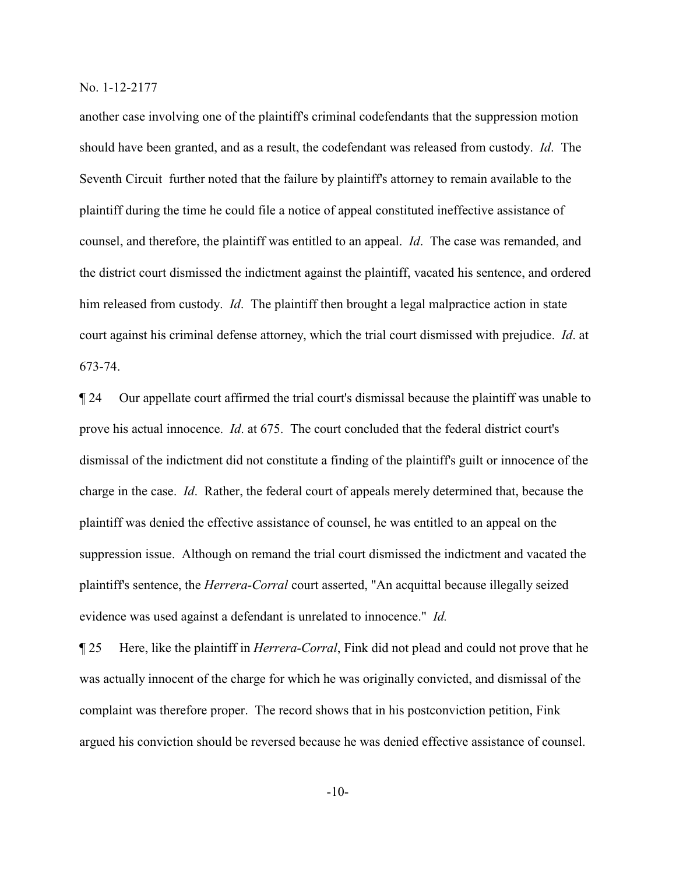another case involving one of the plaintiff's criminal codefendants that the suppression motion should have been granted, and as a result, the codefendant was released from custody. *Id*. The Seventh Circuit further noted that the failure by plaintiff's attorney to remain available to the plaintiff during the time he could file a notice of appeal constituted ineffective assistance of counsel, and therefore, the plaintiff was entitled to an appeal. *Id*. The case was remanded, and the district court dismissed the indictment against the plaintiff, vacated his sentence, and ordered him released from custody. *Id*. The plaintiff then brought a legal malpractice action in state court against his criminal defense attorney, which the trial court dismissed with prejudice. *Id*. at 673-74.

¶ 24 Our appellate court affirmed the trial court's dismissal because the plaintiff was unable to prove his actual innocence. *Id*. at 675. The court concluded that the federal district court's dismissal of the indictment did not constitute a finding of the plaintiff's guilt or innocence of the charge in the case. *Id*. Rather, the federal court of appeals merely determined that, because the plaintiff was denied the effective assistance of counsel, he was entitled to an appeal on the suppression issue. Although on remand the trial court dismissed the indictment and vacated the plaintiff's sentence, the *Herrera-Corral* court asserted, "An acquittal because illegally seized evidence was used against a defendant is unrelated to innocence." *Id.*

¶ 25 Here, like the plaintiff in *Herrera-Corral*, Fink did not plead and could not prove that he was actually innocent of the charge for which he was originally convicted, and dismissal of the complaint was therefore proper. The record shows that in his postconviction petition, Fink argued his conviction should be reversed because he was denied effective assistance of counsel.

-10-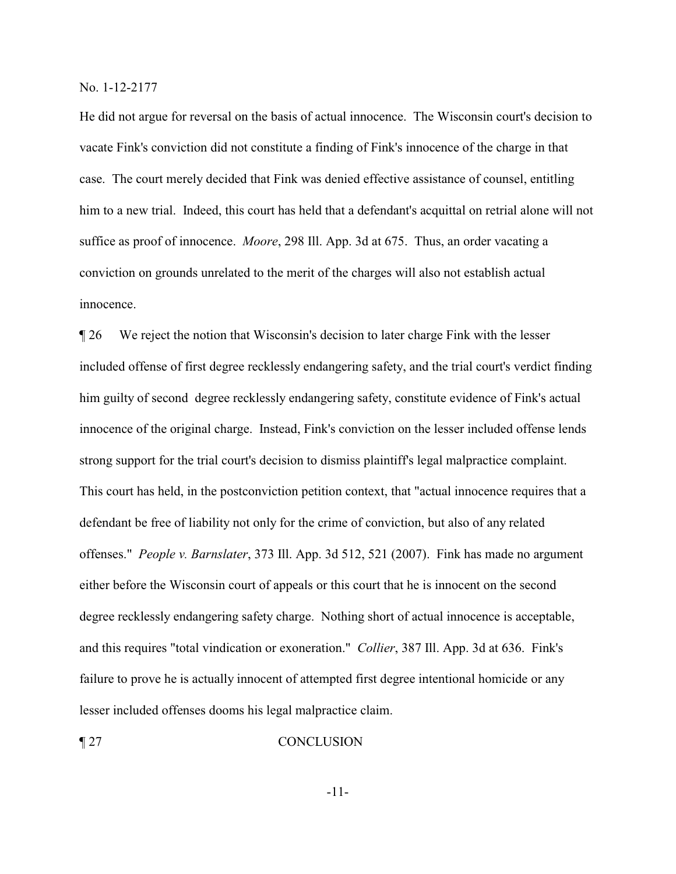He did not argue for reversal on the basis of actual innocence. The Wisconsin court's decision to vacate Fink's conviction did not constitute a finding of Fink's innocence of the charge in that case. The court merely decided that Fink was denied effective assistance of counsel, entitling him to a new trial. Indeed, this court has held that a defendant's acquittal on retrial alone will not suffice as proof of innocence. *Moore*, 298 Ill. App. 3d at 675. Thus, an order vacating a conviction on grounds unrelated to the merit of the charges will also not establish actual innocence.

¶ 26 We reject the notion that Wisconsin's decision to later charge Fink with the lesser included offense of first degree recklessly endangering safety, and the trial court's verdict finding him guilty of second degree recklessly endangering safety, constitute evidence of Fink's actual innocence of the original charge. Instead, Fink's conviction on the lesser included offense lends strong support for the trial court's decision to dismiss plaintiff's legal malpractice complaint. This court has held, in the postconviction petition context, that "actual innocence requires that a defendant be free of liability not only for the crime of conviction, but also of any related offenses." *People v. Barnslater*, 373 Ill. App. 3d 512, 521 (2007). Fink has made no argument either before the Wisconsin court of appeals or this court that he is innocent on the second degree recklessly endangering safety charge. Nothing short of actual innocence is acceptable, and this requires "total vindication or exoneration." *Collier*, 387 Ill. App. 3d at 636. Fink's failure to prove he is actually innocent of attempted first degree intentional homicide or any lesser included offenses dooms his legal malpractice claim.

#### ¶ 27 CONCLUSION

-11-